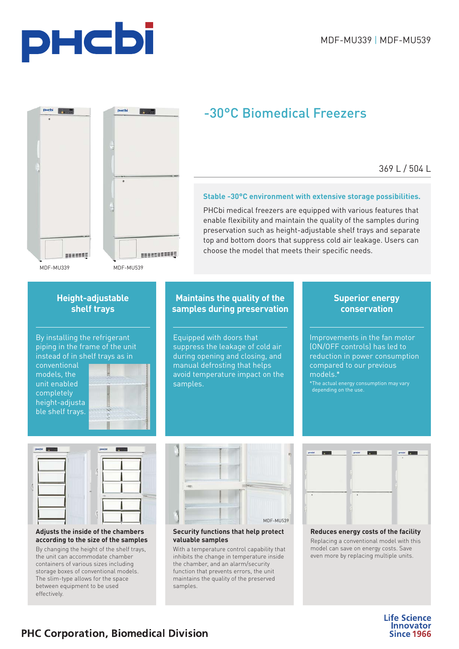



## -30°C Biomedical Freezers

369 L / 504 L

## **Stable -30°C environment with extensive storage possibilities.**

PHCbi medical freezers are equipped with various features that enable flexibility and maintain the quality of the samples during preservation such as height-adjustable shelf trays and separate top and bottom doors that suppress cold air leakage. Users can choose the model that meets their specific needs.

## **Height-adjustable shelf trays**

By installing the refrigerant piping in the frame of the unit instead of in shelf trays as in

conventional models, the unit enabled completely height-adjusta ble shelf trays.



## **Maintains the quality of the samples during preservation**

Equipped with doors that suppress the leakage of cold air during opening and closing, and manual defrosting that helps avoid temperature impact on the samples.

## **Superior energy conservation**

Improvements in the fan motor (ON/OFF controls) has led to reduction in power consumption compared to our previous models.\*  $^\ast$ The actual energy consumption may vary

#### **Adjusts the inside of the chambers according to the size of the samples**  By changing the height of the shelf trays, the unit can accommodate chamber containers of various sizes including storage boxes of conventional models. The slim-type allows for the space between equipment to be used effectively.



## **Security functions that help protect valuable samples**

With a temperature control capability that inhibits the change in temperature inside the chamber, and an alarm/security function that prevents errors, the unit maintains the quality of the preserved samples.



## **Reduces energy costs of the facility**

Replacing a conventional model with this model can save on energy costs. Save even more by replacing multiple units.

> **Life Science Innovator Since 1966**

## **PHC Corporation, Biomedical Division**